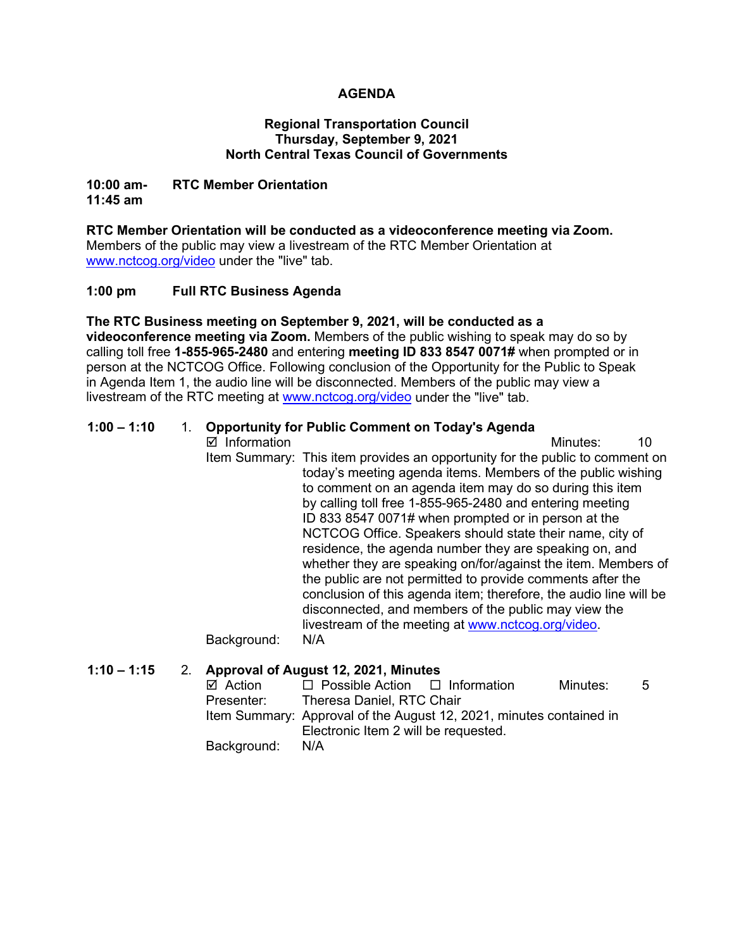## **AGENDA**

#### **Regional Transportation Council Thursday, September 9, 2021 North Central Texas Council of Governments**

#### **10:00 am- RTC Member Orientation 11:45 am**

**RTC Member Orientation will be conducted as a videoconference meeting via Zoom.**  Members of the public may view a livestream of the RTC Member Orientation at [www.nctcog.org/video](http://www.nctcog.org/video) under the "live" tab.

## **1:00 pm Full RTC Business Agenda**

**The RTC Business meeting on September 9, 2021, will be conducted as a videoconference meeting via Zoom.** Members of the public wishing to speak may do so by calling toll free **1-855-965-2480** and entering **meeting ID 833 8547 0071#** when prompted or in person at the NCTCOG Office. Following conclusion of the Opportunity for the Public to Speak in Agenda Item 1, the audio line will be disconnected. Members of the public may view a livestream of the RTC meeting at [www.nctcog.org/video](http://www.nctcog.org/video) under the "live" tab.

## **1:00 – 1:10** 1. **Opportunity for Public Comment on Today's Agenda**

 $\boxtimes$  Information and a set of the matrice of the Minutes: 10 Item Summary: This item provides an opportunity for the public to comment on today's meeting agenda items. Members of the public wishing to comment on an agenda item may do so during this item by calling toll free 1-855-965-2480 and entering meeting ID 833 8547 0071# when prompted or in person at the NCTCOG Office. Speakers should state their name, city of residence, the agenda number they are speaking on, and whether they are speaking on/for/against the item. Members of the public are not permitted to provide comments after the conclusion of this agenda item; therefore, the audio line will be disconnected, and members of the public may view the livestream of the meeting at [www.nctcog.org/video.](http://www.nctcog.org/video)

Background: N/A

**1:10 – 1:15** 2. **Approval of August 12, 2021, Minutes**  $\boxtimes$  Action  $\square$  Possible Action  $\square$  Information Minutes: 5<br>Presenter: Theresa Daniel. RTC Chair Theresa Daniel, RTC Chair Item Summary: Approval of the August 12, 2021, minutes contained in Electronic Item 2 will be requested.

Background: N/A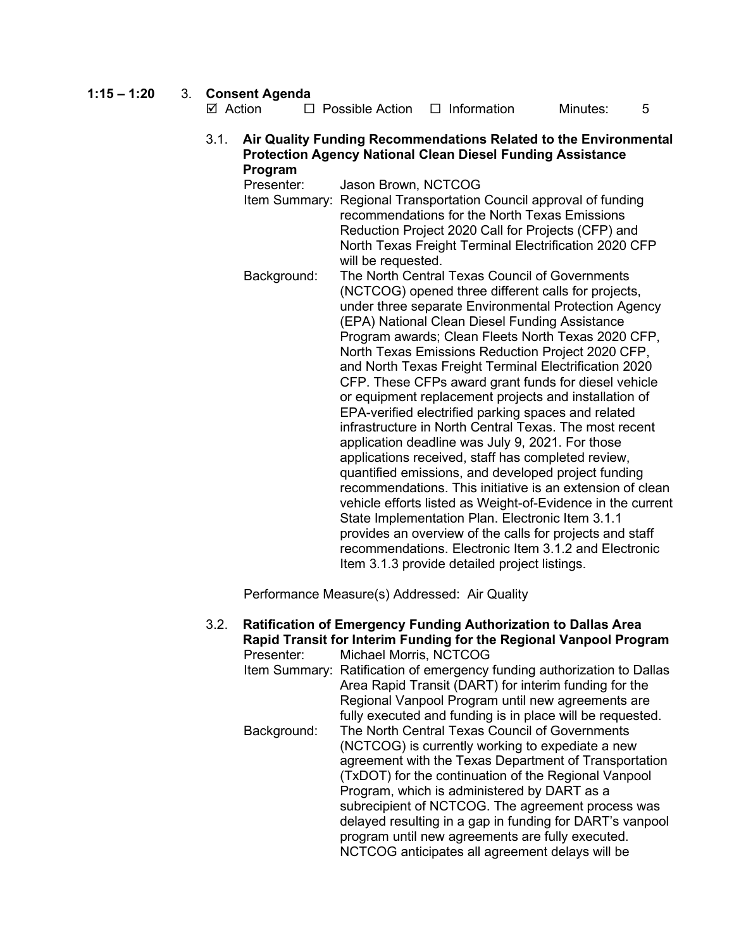## **1:15 – 1:20** 3. **Consent Agenda**

| ⊠ Action | $\Box$ Possible Action | $\Box$ Information | Minutes: |  |
|----------|------------------------|--------------------|----------|--|
|          |                        |                    |          |  |

#### 3.1. **Air Quality Funding Recommendations Related to the Environmental Protection Agency National Clean Diesel Funding Assistance Program**

Presenter: Jason Brown, NCTCOG Item Summary: Regional Transportation Council approval of funding recommendations for the North Texas Emissions Reduction Project 2020 Call for Projects (CFP) and North Texas Freight Terminal Electrification 2020 CFP will be requested. Background: The North Central Texas Council of Governments (NCTCOG) opened three different calls for projects, under three separate Environmental Protection Agency (EPA) National Clean Diesel Funding Assistance Program awards; Clean Fleets North Texas 2020 CFP, North Texas Emissions Reduction Project 2020 CFP, and North Texas Freight Terminal Electrification 2020 CFP. These CFPs award grant funds for diesel vehicle or equipment replacement projects and installation of EPA-verified electrified parking spaces and related infrastructure in North Central Texas. The most recent application deadline was July 9, 2021. For those applications received, staff has completed review, quantified emissions, and developed project funding recommendations. This initiative is an extension of clean vehicle efforts listed as Weight-of-Evidence in the current State Implementation Plan. Electronic Item 3.1.1 provides an overview of the calls for projects and staff recommendations. Electronic Item 3.1.2 and Electronic Item 3.1.3 provide detailed project listings.

Performance Measure(s) Addressed: Air Quality

3.2. **Ratification of Emergency Funding Authorization to Dallas Area Rapid Transit for Interim Funding for the Regional Vanpool Program** Presenter: Michael Morris, NCTCOG Item Summary: Ratification of emergency funding authorization to Dallas Area Rapid Transit (DART) for interim funding for the Regional Vanpool Program until new agreements are fully executed and funding is in place will be requested. Background: The North Central Texas Council of Governments (NCTCOG) is currently working to expediate a new agreement with the Texas Department of Transportation (TxDOT) for the continuation of the Regional Vanpool Program, which is administered by DART as a subrecipient of NCTCOG. The agreement process was delayed resulting in a gap in funding for DART's vanpool program until new agreements are fully executed. NCTCOG anticipates all agreement delays will be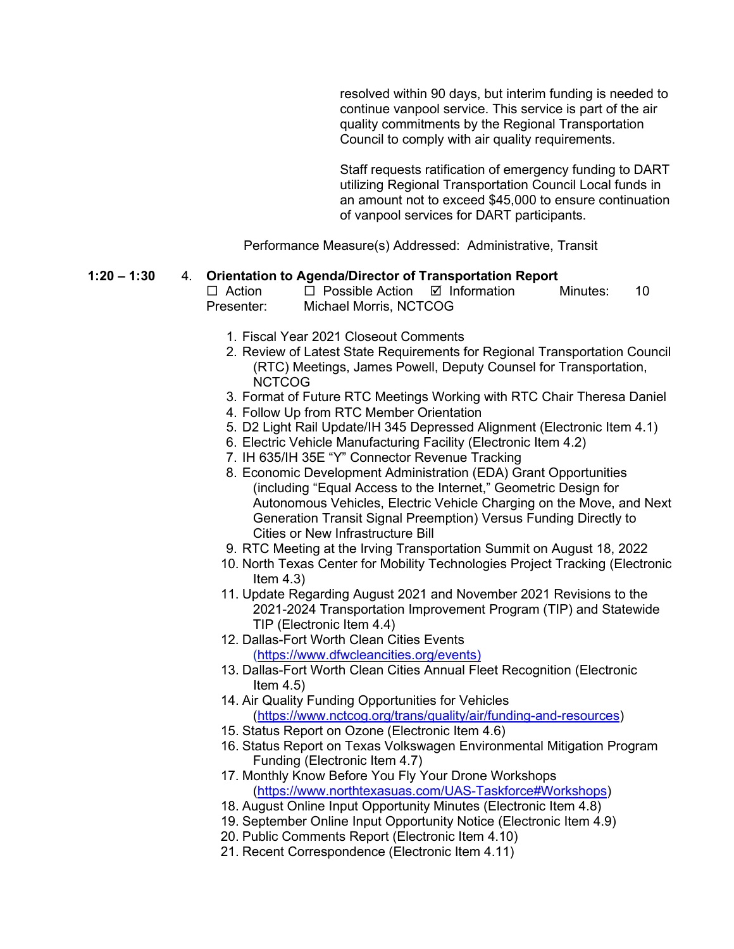resolved within 90 days, but interim funding is needed to continue vanpool service. This service is part of the air quality commitments by the Regional Transportation Council to comply with air quality requirements.

Staff requests ratification of emergency funding to DART utilizing Regional Transportation Council Local funds in an amount not to exceed \$45,000 to ensure continuation of vanpool services for DART participants.

Performance Measure(s) Addressed: Administrative, Transit

# **1:20 – 1:30** 4. **Orientation to Agenda/Director of Transportation Report**

 $\Box$  Possible Action  $\Box$  Information Minutes: 10 Presenter: Michael Morris, NCTCOG

- 1. Fiscal Year 2021 Closeout Comments
- 2. Review of Latest State Requirements for Regional Transportation Council (RTC) Meetings, James Powell, Deputy Counsel for Transportation, NCTCOG
- 3. Format of Future RTC Meetings Working with RTC Chair Theresa Daniel
- 4. Follow Up from RTC Member Orientation
- 5. D2 Light Rail Update/IH 345 Depressed Alignment (Electronic Item 4.1)
- 6. Electric Vehicle Manufacturing Facility (Electronic Item 4.2)
- 7. IH 635/IH 35E "Y" Connector Revenue Tracking
- 8. Economic Development Administration (EDA) Grant Opportunities (including "Equal Access to the Internet," Geometric Design for Autonomous Vehicles, Electric Vehicle Charging on the Move, and Next Generation Transit Signal Preemption) Versus Funding Directly to Cities or New Infrastructure Bill
- 9. RTC Meeting at the Irving Transportation Summit on August 18, 2022
- 10. North Texas Center for Mobility Technologies Project Tracking (Electronic Item  $4.3$ )
- 11. Update Regarding August 2021 and November 2021 Revisions to the 2021-2024 Transportation Improvement Program (TIP) and Statewide TIP (Electronic Item 4.4)
- 12. Dallas-Fort Worth Clean Cities Events [\(https://www.dfwcleancities.org/events\)](https://www.dfwcleancities.org/events)
- 13. Dallas-Fort Worth Clean Cities Annual Fleet Recognition (Electronic Item  $4.5$ )
- 14. Air Quality Funding Opportunities for Vehicles [\(https://www.nctcog.org/trans/quality/air/funding-and-resources\)](https://www.nctcog.org/trans/quality/air/funding-and-resources)
- 15. Status Report on Ozone (Electronic Item 4.6)
- 16. Status Report on Texas Volkswagen Environmental Mitigation Program Funding (Electronic Item 4.7)
- 17. Monthly Know Before You Fly Your Drone Workshops [\(https://www.northtexasuas.com/UAS-Taskforce#Workshops\)](https://www.northtexasuas.com/UAS-Taskforce#Workshops)
- 18. August Online Input Opportunity Minutes (Electronic Item 4.8)
- 19. September Online Input Opportunity Notice (Electronic Item 4.9)
- 20. Public Comments Report (Electronic Item 4.10)
- 21. Recent Correspondence (Electronic Item 4.11)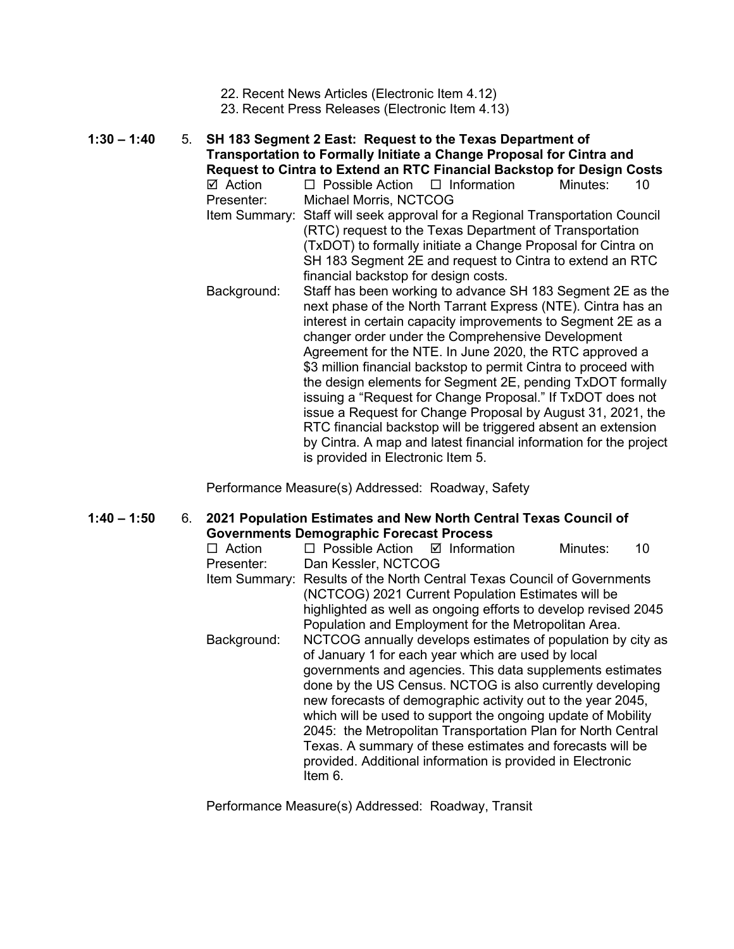- 22. Recent News Articles (Electronic Item 4.12)
- 23. Recent Press Releases (Electronic Item 4.13)

**1:30 – 1:40** 5. **SH 183 Segment 2 East: Request to the Texas Department of Transportation to Formally Initiate a Change Proposal for Cintra and Request to Cintra to Extend an RTC Financial Backstop for Design Costs**  $\boxtimes$  Action  $\Box$  Possible Action  $\Box$  Information Minutes: 10 Presenter: Michael Morris, NCTCOG Item Summary: Staff will seek approval for a Regional Transportation Council (RTC) request to the Texas Department of Transportation (TxDOT) to formally initiate a Change Proposal for Cintra on SH 183 Segment 2E and request to Cintra to extend an RTC financial backstop for design costs. Background: Staff has been working to advance SH 183 Segment 2E as the next phase of the North Tarrant Express (NTE). Cintra has an interest in certain capacity improvements to Segment 2E as a changer order under the Comprehensive Development Agreement for the NTE. In June 2020, the RTC approved a \$3 million financial backstop to permit Cintra to proceed with the design elements for Segment 2E, pending TxDOT formally issuing a "Request for Change Proposal." If TxDOT does not

> issue a Request for Change Proposal by August 31, 2021, the RTC financial backstop will be triggered absent an extension by Cintra. A map and latest financial information for the project is provided in Electronic Item 5.

Performance Measure(s) Addressed: Roadway, Safety

**1:40 – 1:50** 6. **2021 Population Estimates and New North Central Texas Council of Governments Demographic Forecast Process**

| Action      | $\Box$ Possible Action $\Box$ Information                                                                                                                                                                                                                                                                                                                                                                                                                                                                                                                                        |                                                                                                                                                                              | Minutes: | 10 |  |
|-------------|----------------------------------------------------------------------------------------------------------------------------------------------------------------------------------------------------------------------------------------------------------------------------------------------------------------------------------------------------------------------------------------------------------------------------------------------------------------------------------------------------------------------------------------------------------------------------------|------------------------------------------------------------------------------------------------------------------------------------------------------------------------------|----------|----|--|
| Presenter:  | Dan Kessler, NCTCOG                                                                                                                                                                                                                                                                                                                                                                                                                                                                                                                                                              |                                                                                                                                                                              |          |    |  |
|             | Item Summary: Results of the North Central Texas Council of Governments                                                                                                                                                                                                                                                                                                                                                                                                                                                                                                          | (NCTCOG) 2021 Current Population Estimates will be<br>highlighted as well as ongoing efforts to develop revised 2045<br>Population and Employment for the Metropolitan Area. |          |    |  |
| Background: | NCTCOG annually develops estimates of population by city as<br>of January 1 for each year which are used by local<br>governments and agencies. This data supplements estimates<br>done by the US Census. NCTOG is also currently developing<br>new forecasts of demographic activity out to the year 2045,<br>which will be used to support the ongoing update of Mobility<br>2045: the Metropolitan Transportation Plan for North Central<br>Texas. A summary of these estimates and forecasts will be<br>provided. Additional information is provided in Electronic<br>Item 6. |                                                                                                                                                                              |          |    |  |

Performance Measure(s) Addressed: Roadway, Transit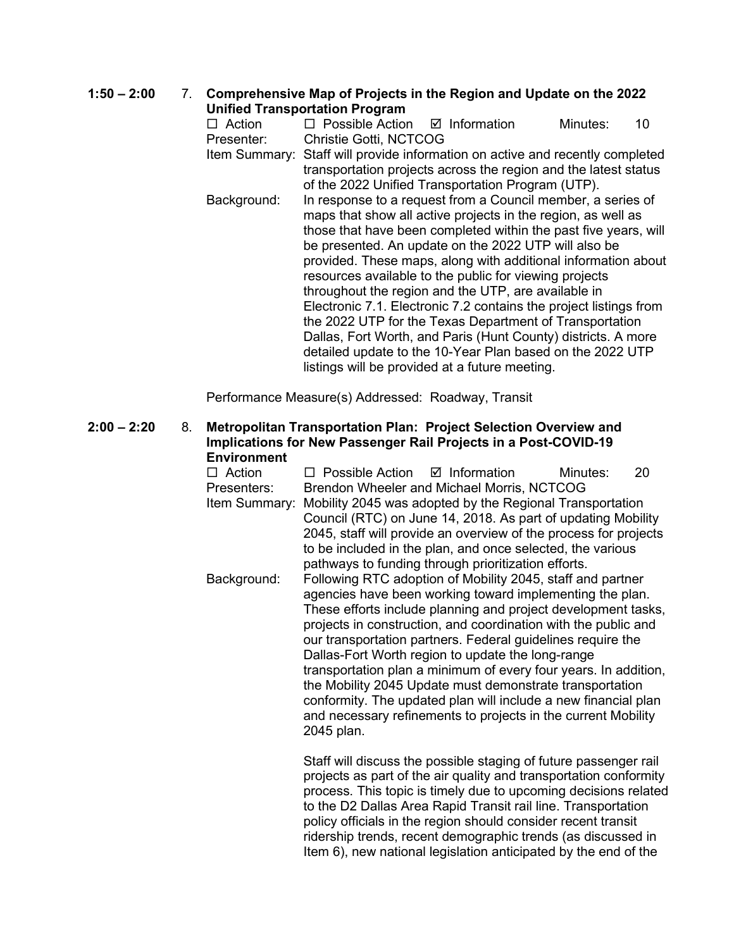#### **1:50 – 2:00** 7. **Comprehensive Map of Projects in the Region and Update on the 2022 Unified Transportation Program**

 $\Box$  Action  $\Box$  Possible Action  $\Box$  Information Minutes: 10 Presenter: Christie Gotti, NCTCOG Item Summary: Staff will provide information on active and recently completed transportation projects across the region and the latest status of the 2022 Unified Transportation Program (UTP). Background: In response to a request from a Council member, a series of maps that show all active projects in the region, as well as those that have been completed within the past five years, will be presented. An update on the 2022 UTP will also be provided. These maps, along with additional information about resources available to the public for viewing projects throughout the region and the UTP, are available in Electronic 7.1. Electronic 7.2 contains the project listings from the 2022 UTP for the Texas Department of Transportation Dallas, Fort Worth, and Paris (Hunt County) districts. A more detailed update to the 10-Year Plan based on the 2022 UTP listings will be provided at a future meeting.

Performance Measure(s) Addressed: Roadway, Transit

## **2:00 – 2:20** 8. **Metropolitan Transportation Plan: Project Selection Overview and Implications for New Passenger Rail Projects in a Post-COVID-19 Environment**

 $\Box$  Action  $\Box$  Possible Action  $\Box$  Information Minutes: 20 Presenters: Brendon Wheeler and Michael Morris, NCTCOG Item Summary: Mobility 2045 was adopted by the Regional Transportation Council (RTC) on June 14, 2018. As part of updating Mobility 2045, staff will provide an overview of the process for projects to be included in the plan, and once selected, the various pathways to funding through prioritization efforts. Background: Following RTC adoption of Mobility 2045, staff and partner agencies have been working toward implementing the plan. These efforts include planning and project development tasks, projects in construction, and coordination with the public and our transportation partners. Federal guidelines require the Dallas-Fort Worth region to update the long-range transportation plan a minimum of every four years. In addition, the Mobility 2045 Update must demonstrate transportation conformity. The updated plan will include a new financial plan and necessary refinements to projects in the current Mobility 2045 plan.

> Staff will discuss the possible staging of future passenger rail projects as part of the air quality and transportation conformity process. This topic is timely due to upcoming decisions related to the D2 Dallas Area Rapid Transit rail line. Transportation policy officials in the region should consider recent transit ridership trends, recent demographic trends (as discussed in Item 6), new national legislation anticipated by the end of the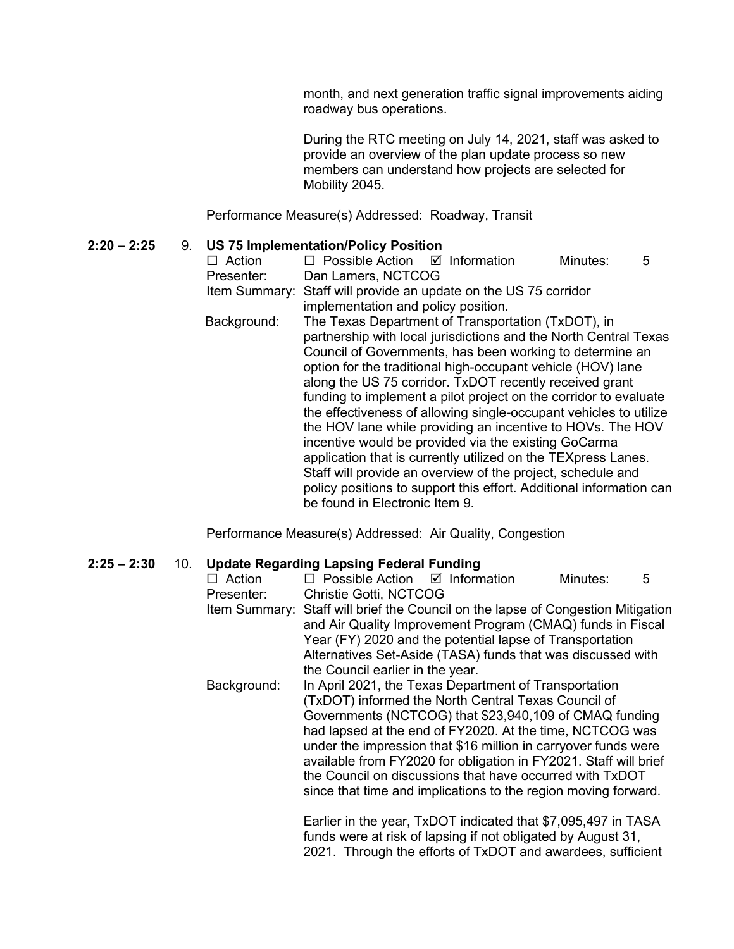month, and next generation traffic signal improvements aiding roadway bus operations.

During the RTC meeting on July 14, 2021, staff was asked to provide an overview of the plan update process so new members can understand how projects are selected for Mobility 2045.

Performance Measure(s) Addressed: Roadway, Transit

## **2:20 – 2:25** 9. **US 75 Implementation/Policy Position**

| $\Box$ Action | □ Possible Action<br><br>$\Box$ Information                                                             |                                                                                                                                                                                                                                                                                                                                                                                                                                                                                                                                                                                                                                                                                                                                                                                    | Minutes: | 5 |  |  |  |
|---------------|---------------------------------------------------------------------------------------------------------|------------------------------------------------------------------------------------------------------------------------------------------------------------------------------------------------------------------------------------------------------------------------------------------------------------------------------------------------------------------------------------------------------------------------------------------------------------------------------------------------------------------------------------------------------------------------------------------------------------------------------------------------------------------------------------------------------------------------------------------------------------------------------------|----------|---|--|--|--|
| Presenter:    | Dan Lamers, NCTCOG                                                                                      |                                                                                                                                                                                                                                                                                                                                                                                                                                                                                                                                                                                                                                                                                                                                                                                    |          |   |  |  |  |
|               | Item Summary: Staff will provide an update on the US 75 corridor<br>implementation and policy position. |                                                                                                                                                                                                                                                                                                                                                                                                                                                                                                                                                                                                                                                                                                                                                                                    |          |   |  |  |  |
| Background:   | be found in Electronic Item 9.                                                                          | The Texas Department of Transportation (TxDOT), in<br>partnership with local jurisdictions and the North Central Texas<br>Council of Governments, has been working to determine an<br>option for the traditional high-occupant vehicle (HOV) lane<br>along the US 75 corridor. TxDOT recently received grant<br>funding to implement a pilot project on the corridor to evaluate<br>the effectiveness of allowing single-occupant vehicles to utilize<br>the HOV lane while providing an incentive to HOVs. The HOV<br>incentive would be provided via the existing GoCarma<br>application that is currently utilized on the TEXpress Lanes.<br>Staff will provide an overview of the project, schedule and<br>policy positions to support this effort. Additional information can |          |   |  |  |  |

Performance Measure(s) Addressed: Air Quality, Congestion

## **2:25 – 2:30** 10. **Update Regarding Lapsing Federal Funding**   $\Box$  Possible Action  $\Box$  Information Minutes: 5 Presenter: Christie Gotti, NCTCOG Item Summary: Staff will brief the Council on the lapse of Congestion Mitigation and Air Quality Improvement Program (CMAQ) funds in Fiscal Year (FY) 2020 and the potential lapse of Transportation Alternatives Set-Aside (TASA) funds that was discussed with the Council earlier in the year. Background: In April 2021, the Texas Department of Transportation (TxDOT) informed the North Central Texas Council of Governments (NCTCOG) that \$23,940,109 of CMAQ funding had lapsed at the end of FY2020. At the time, NCTCOG was under the impression that \$16 million in carryover funds were available from FY2020 for obligation in FY2021. Staff will brief the Council on discussions that have occurred with TxDOT since that time and implications to the region moving forward. Earlier in the year, TxDOT indicated that \$7,095,497 in TASA funds were at risk of lapsing if not obligated by August 31,

2021. Through the efforts of TxDOT and awardees, sufficient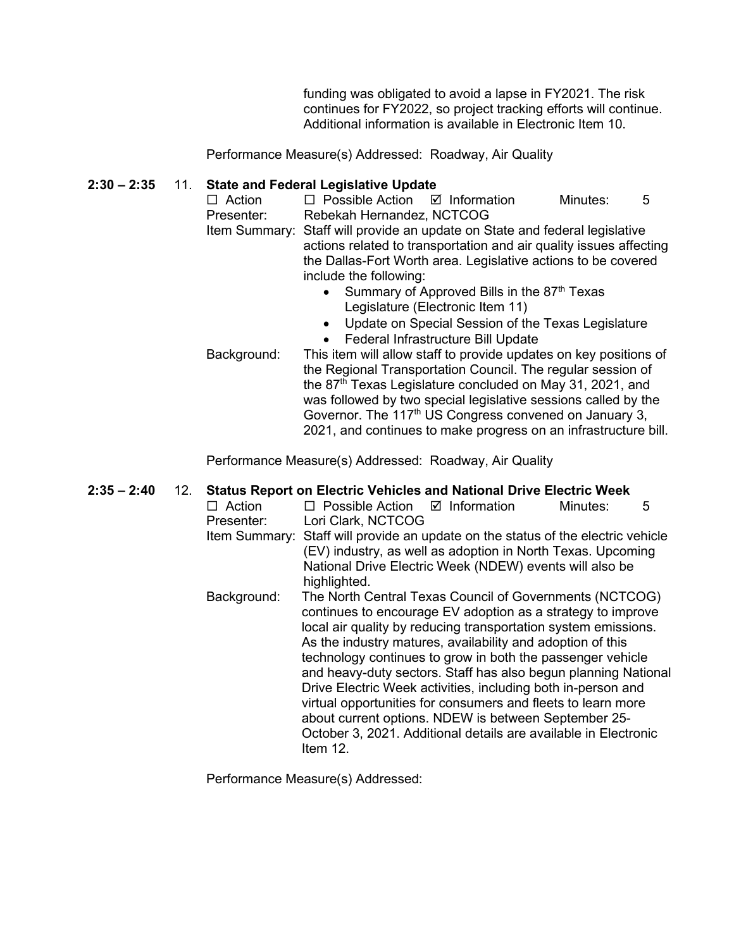funding was obligated to avoid a lapse in FY2021. The risk continues for FY2022, so project tracking efforts will continue. Additional information is available in Electronic Item 10.

Performance Measure(s) Addressed: Roadway, Air Quality

## **2:30 – 2:35** 11. **State and Federal Legislative Update**

- $\Box$  Action  $\Box$  Possible Action  $\Box$  Information Minutes: 5 Presenter: Rebekah Hernandez, NCTCOG Item Summary: Staff will provide an update on State and federal legislative actions related to transportation and air quality issues affecting the Dallas-Fort Worth area. Legislative actions to be covered include the following:
	- Summary of Approved Bills in the  $87<sup>th</sup>$  Texas Legislature (Electronic Item 11)
	- Update on Special Session of the Texas Legislature • Federal Infrastructure Bill Update
- Background: This item will allow staff to provide updates on key positions of the Regional Transportation Council. The regular session of the 87<sup>th</sup> Texas Legislature concluded on May 31, 2021, and was followed by two special legislative sessions called by the Governor. The 117<sup>th</sup> US Congress convened on January 3, 2021, and continues to make progress on an infrastructure bill.

Performance Measure(s) Addressed: Roadway, Air Quality

#### **2:35 – 2:40** 12. **Status Report on Electric Vehicles and National Drive Electric Week**

 $\Box$  Action  $\Box$  Possible Action  $\Box$  Information Minutes: 5 Presenter: Lori Clark, NCTCOG Item Summary: Staff will provide an update on the status of the electric vehicle (EV) industry, as well as adoption in North Texas. Upcoming National Drive Electric Week (NDEW) events will also be highlighted. Background: The North Central Texas Council of Governments (NCTCOG) continues to encourage EV adoption as a strategy to improve local air quality by reducing transportation system emissions. As the industry matures, availability and adoption of this technology continues to grow in both the passenger vehicle and heavy-duty sectors. Staff has also begun planning National Drive Electric Week activities, including both in-person and virtual opportunities for consumers and fleets to learn more about current options. NDEW is between September 25- October 3, 2021. Additional details are available in Electronic Item 12.

Performance Measure(s) Addressed: